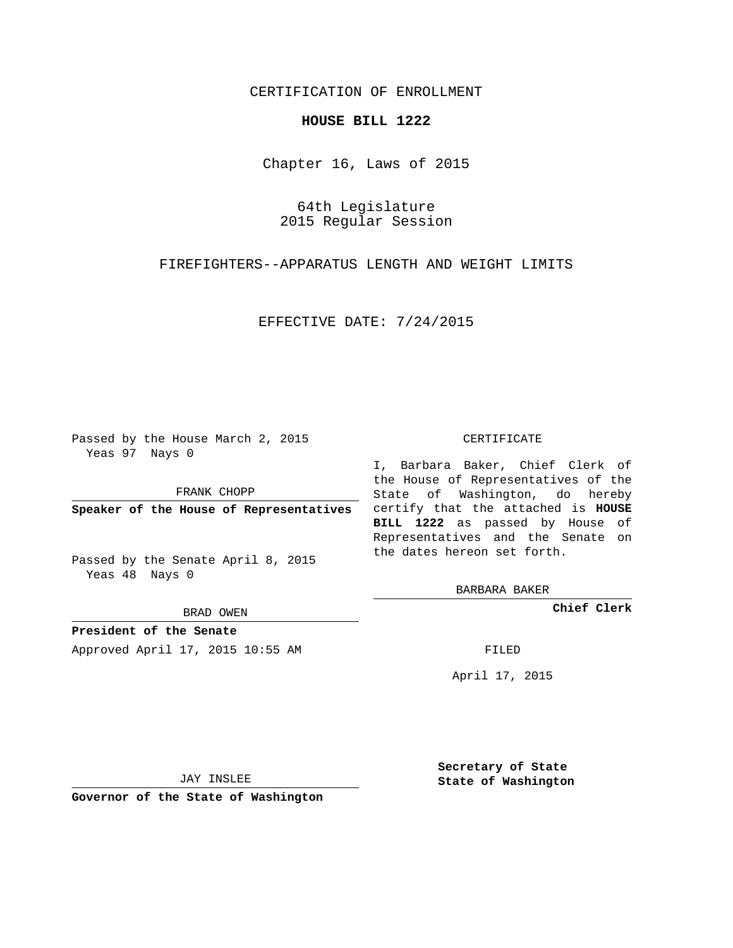# CERTIFICATION OF ENROLLMENT

### **HOUSE BILL 1222**

Chapter 16, Laws of 2015

64th Legislature 2015 Regular Session

FIREFIGHTERS--APPARATUS LENGTH AND WEIGHT LIMITS

EFFECTIVE DATE: 7/24/2015

Passed by the House March 2, 2015 Yeas 97 Nays 0

FRANK CHOPP

Passed by the Senate April 8, 2015 Yeas 48 Nays 0

BRAD OWEN

**President of the Senate**

Approved April 17, 2015 10:55 AM FILED

#### CERTIFICATE

**Speaker of the House of Representatives** certify that the attached is **HOUSE** I, Barbara Baker, Chief Clerk of the House of Representatives of the State of Washington, do hereby **BILL 1222** as passed by House of Representatives and the Senate on the dates hereon set forth.

BARBARA BAKER

**Chief Clerk**

April 17, 2015

JAY INSLEE

**Governor of the State of Washington**

**Secretary of State State of Washington**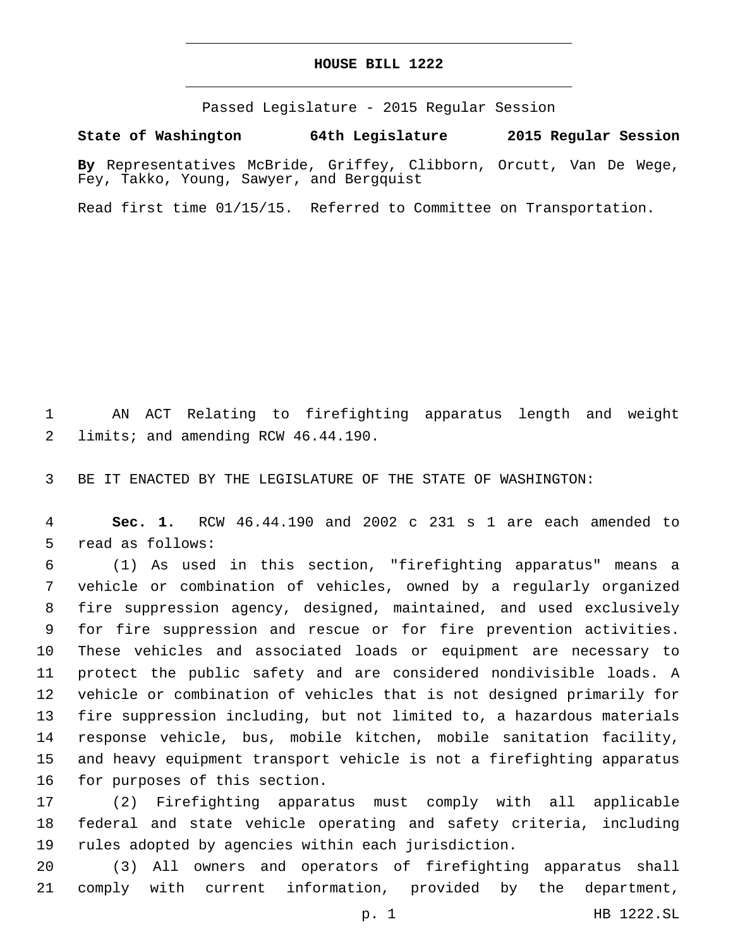## **HOUSE BILL 1222**

Passed Legislature - 2015 Regular Session

**State of Washington 64th Legislature 2015 Regular Session**

**By** Representatives McBride, Griffey, Clibborn, Orcutt, Van De Wege, Fey, Takko, Young, Sawyer, and Bergquist

Read first time 01/15/15. Referred to Committee on Transportation.

 AN ACT Relating to firefighting apparatus length and weight 2 limits; and amending RCW 46.44.190.

BE IT ENACTED BY THE LEGISLATURE OF THE STATE OF WASHINGTON:

 **Sec. 1.** RCW 46.44.190 and 2002 c 231 s 1 are each amended to 5 read as follows:

 (1) As used in this section, "firefighting apparatus" means a vehicle or combination of vehicles, owned by a regularly organized fire suppression agency, designed, maintained, and used exclusively for fire suppression and rescue or for fire prevention activities. These vehicles and associated loads or equipment are necessary to protect the public safety and are considered nondivisible loads. A vehicle or combination of vehicles that is not designed primarily for fire suppression including, but not limited to, a hazardous materials response vehicle, bus, mobile kitchen, mobile sanitation facility, and heavy equipment transport vehicle is not a firefighting apparatus 16 for purposes of this section.

 (2) Firefighting apparatus must comply with all applicable federal and state vehicle operating and safety criteria, including rules adopted by agencies within each jurisdiction.

 (3) All owners and operators of firefighting apparatus shall comply with current information, provided by the department,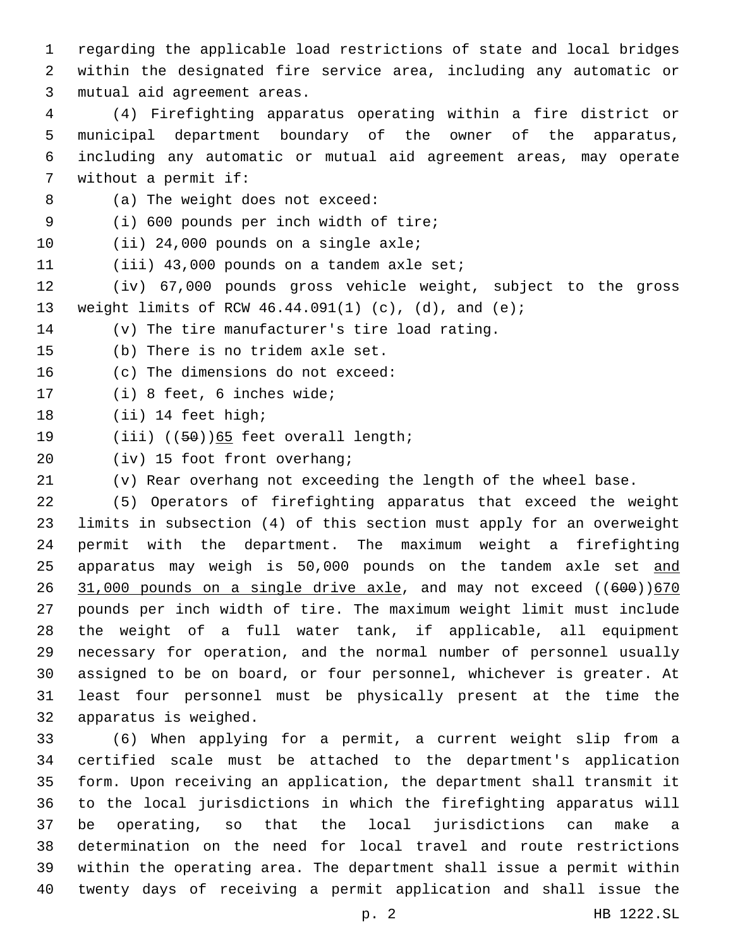regarding the applicable load restrictions of state and local bridges within the designated fire service area, including any automatic or 3 mutual aid agreement areas.

 (4) Firefighting apparatus operating within a fire district or municipal department boundary of the owner of the apparatus, including any automatic or mutual aid agreement areas, may operate 7 without a permit if:

8 (a) The weight does not exceed:

(i) 600 pounds per inch width of tire;9

10 (ii) 24,000 pounds on a single axle;

11 (iii) 43,000 pounds on a tandem axle set;

 (iv) 67,000 pounds gross vehicle weight, subject to the gross weight limits of RCW 46.44.091(1) (c), (d), and (e);

14 (v) The tire manufacturer's tire load rating.

15 (b) There is no tridem axle set.

16 (c) The dimensions do not exceed:

17 (i) 8 feet, 6 inches wide;

18 (ii) 14 feet high;

19  $(iii)$   $((50))65$  feet overall length;

20 (iv) 15 foot front overhang;

(v) Rear overhang not exceeding the length of the wheel base.

 (5) Operators of firefighting apparatus that exceed the weight limits in subsection (4) of this section must apply for an overweight permit with the department. The maximum weight a firefighting 25 apparatus may weigh is 50,000 pounds on the tandem axle set and  $31,000$  pounds on a single drive axle, and may not exceed  $(600)/670$  pounds per inch width of tire. The maximum weight limit must include the weight of a full water tank, if applicable, all equipment necessary for operation, and the normal number of personnel usually assigned to be on board, or four personnel, whichever is greater. At least four personnel must be physically present at the time the 32 apparatus is weighed.

 (6) When applying for a permit, a current weight slip from a certified scale must be attached to the department's application form. Upon receiving an application, the department shall transmit it to the local jurisdictions in which the firefighting apparatus will be operating, so that the local jurisdictions can make a determination on the need for local travel and route restrictions within the operating area. The department shall issue a permit within twenty days of receiving a permit application and shall issue the